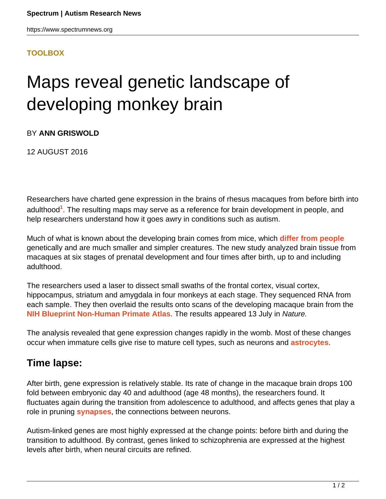## **[TOOLBOX](HTTPS://WWW.SPECTRUMNEWS.ORG/NEWS/TOOLBOX/)**

## Maps reveal genetic landscape of developing monkey brain

BY **ANN GRISWOLD**

12 AUGUST 2016

Researchers have charted gene expression in the brains of rhesus macaques from before birth into adulthood**<sup>1</sup>** . The resulting maps may serve as a reference for brain development in people, and help researchers understand how it goes awry in conditions such as autism.

Much of what is known about the developing brain comes from mice, which **[differ from people](https://www.spectrumnews.org/opinion/mice-and-men/)** genetically and are much smaller and simpler creatures. The new study analyzed brain tissue from macaques at six stages of prenatal development and four times after birth, up to and including adulthood.

The researchers used a laser to dissect small swaths of the frontal cortex, visual cortex, hippocampus, striatum and amygdala in four monkeys at each stage. They sequenced RNA from each sample. They then overlaid the results onto scans of the developing macaque brain from the **[NIH Blueprint Non-Human Primate Atlas](http://www.blueprintnhpatlas.org/)**. The results appeared 13 July in Nature.

The analysis revealed that gene expression changes rapidly in the womb. Most of these changes occur when immature cells give rise to mature cell types, such as neurons and **[astrocytes](https://www.spectrumnews.org/opinion/viewpoint/targeting-brains-star-shaped-cells-may-yield-autism-drugs/)**.

## **Time lapse:**

After birth, gene expression is relatively stable. Its rate of change in the macaque brain drops 100 fold between embryonic day 40 and adulthood (age 48 months), the researchers found. It fluctuates again during the transition from adolescence to adulthood, and affects genes that play a role in pruning **[synapses](https://www.spectrumnews.org/wiki/synapse/)**, the connections between neurons.

Autism-linked genes are most highly expressed at the change points: before birth and during the transition to adulthood. By contrast, genes linked to schizophrenia are expressed at the highest levels after birth, when neural circuits are refined.